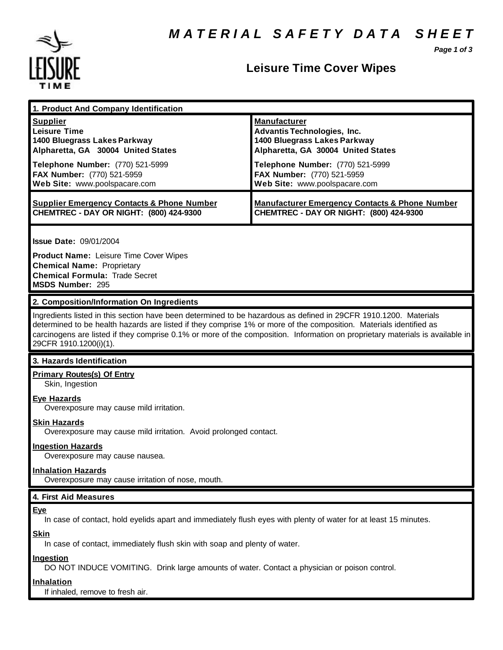

### **Leisure Time Cover Wipes**

*Page 1 of 3*

| 1. Product And Company Identification                                                                                                                                            |                                                           |
|----------------------------------------------------------------------------------------------------------------------------------------------------------------------------------|-----------------------------------------------------------|
| <b>Supplier</b>                                                                                                                                                                  | <b>Manufacturer</b>                                       |
| <b>Leisure Time</b>                                                                                                                                                              | Advantis Technologies, Inc.                               |
| 1400 Bluegrass Lakes Parkway                                                                                                                                                     | 1400 Bluegrass Lakes Parkway                              |
| Alpharetta, GA 30004 United States                                                                                                                                               | Alpharetta, GA 30004 United States                        |
| Telephone Number: (770) 521-5999                                                                                                                                                 | <b>Telephone Number:</b> (770) 521-5999                   |
| FAX Number: (770) 521-5959                                                                                                                                                       | FAX Number: (770) 521-5959                                |
| Web Site: www.poolspacare.com                                                                                                                                                    | Web Site: www.poolspacare.com                             |
| <b>Supplier Emergency Contacts &amp; Phone Number</b>                                                                                                                            | <b>Manufacturer Emergency Contacts &amp; Phone Number</b> |
| <b>CHEMTREC - DAY OR NIGHT: (800) 424-9300</b>                                                                                                                                   | CHEMTREC - DAY OR NIGHT: (800) 424-9300                   |
| <b>Issue Date: 09/01/2004</b><br><b>Product Name: Leisure Time Cover Wipes</b><br><b>Chemical Name: Proprietary</b><br><b>Chemical Formula: Trade Secret</b><br>MSDS Number: 295 |                                                           |

### **2. Composition/Information On Ingredients**

Ingredients listed in this section have been determined to be hazardous as defined in 29CFR 1910.1200. Materials determined to be health hazards are listed if they comprise 1% or more of the composition. Materials identified as carcinogens are listed if they comprise 0.1% or more of the composition. Information on proprietary materials is available in 29CFR 1910.1200(i)(1).

### **3. Hazards Identification**

## **Primary Routes(s) Of Entry**

Skin, Ingestion

### **Eye Hazards**

Overexposure may cause mild irritation.

#### **Skin Hazards**

Overexposure may cause mild irritation. Avoid prolonged contact.

#### **Ingestion Hazards**

Overexposure may cause nausea.

#### **Inhalation Hazards**

Overexposure may cause irritation of nose, mouth.

#### **4. First Aid Measures**

#### **Eye**

In case of contact, hold eyelids apart and immediately flush eyes with plenty of water for at least 15 minutes.

#### **Skin**

In case of contact, immediately flush skin with soap and plenty of water.

#### **Ingestion**

DO NOT INDUCE VOMITING. Drink large amounts of water. Contact a physician or poison control.

#### **Inhalation**

If inhaled, remove to fresh air.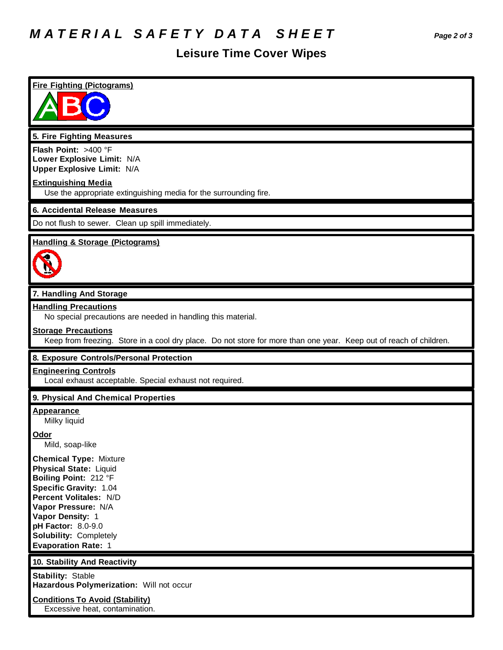# *M A T E R I A L S A F E T Y D A T A S H E E T Page 2 of 3*

## **Leisure Time Cover Wipes**

## **Fire Fighting (Pictograms) 5. Fire Fighting Measures Flash Point:** >400 °F **Lower Explosive Limit:** N/A **Upper Explosive Limit:** N/A **Extinguishing Media** Use the appropriate extinguishing media for the surrounding fire. **6. Accidental Release Measures** Do not flush to sewer. Clean up spill immediately. **Handling & Storage (Pictograms) 7. Handling And Storage Handling Precautions** No special precautions are needed in handling this material. **Storage Precautions** Keep from freezing. Store in a cool dry place. Do not store for more than one year. Keep out of reach of children. **8. Exposure Controls/Personal Protection Engineering Controls** Local exhaust acceptable. Special exhaust not required. **9. Physical And Chemical Properties Appearance** Milky liquid **Odor** Mild, soap-like **Chemical Type:** Mixture **Physical State:** Liquid **Boiling Point:** 212 °F **Specific Gravity:** 1.04 **Percent Volitales:** N/D **Vapor Pressure:** N/A **Vapor Density:** 1 **pH Factor:** 8.0-9.0 **Solubility:** Completely **Evaporation Rate:** 1 **10. Stability And Reactivity Stability:** Stable **Hazardous Polymerization:** Will not occur **Conditions To Avoid (Stability)**

Excessive heat, contamination.